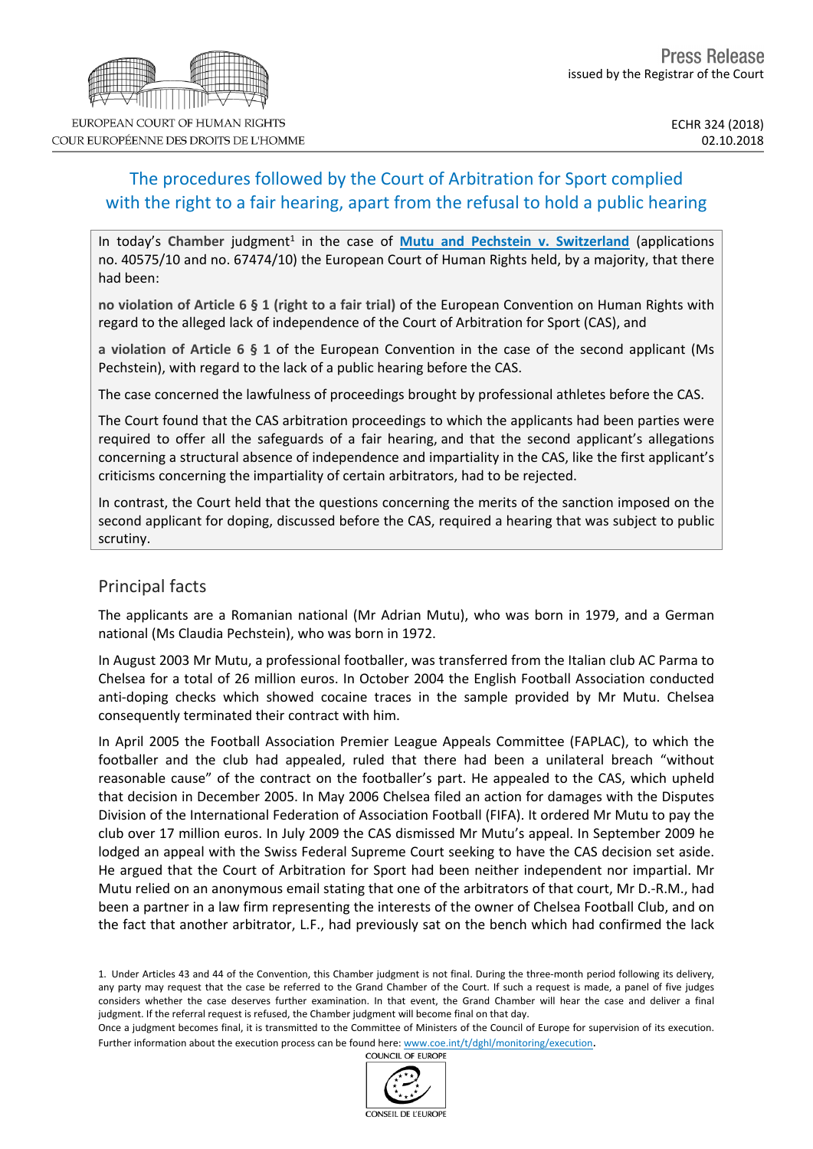# The procedures followed by the Court of Arbitration for Sport complied with the right to a fair hearing, apart from the refusal to hold a public hearing

In today's Chamber judgment<sup>1</sup> in the case of *Mutu and Pechstein v. [Switzerland](http://hudoc.echr.coe.int/eng?i=001-186434)* (applications no. 40575/10 and no. 67474/10) the European Court of Human Rights held, by a majority, that there had been:

**no violation of Article 6 § 1 (right to a fair trial)** of the European Convention on Human Rights with regard to the alleged lack of independence of the Court of Arbitration for Sport (CAS), and

**a violation of Article 6 § 1** of the European Convention in the case of the second applicant (Ms Pechstein), with regard to the lack of a public hearing before the CAS.

The case concerned the lawfulness of proceedings brought by professional athletes before the CAS.

The Court found that the CAS arbitration proceedings to which the applicants had been parties were required to offer all the safeguards of a fair hearing, and that the second applicant's allegations concerning a structural absence of independence and impartiality in the CAS, like the first applicant's criticisms concerning the impartiality of certain arbitrators, had to be rejected.

In contrast, the Court held that the questions concerning the merits of the sanction imposed on the second applicant for doping, discussed before the CAS, required a hearing that was subject to public scrutiny.

## Principal facts

The applicants are a Romanian national (Mr Adrian Mutu), who was born in 1979, and a German national (Ms Claudia Pechstein), who was born in 1972.

In August 2003 Mr Mutu, a professional footballer, was transferred from the Italian club AC Parma to Chelsea for a total of 26 million euros. In October 2004 the English Football Association conducted anti-doping checks which showed cocaine traces in the sample provided by Mr Mutu. Chelsea consequently terminated their contract with him.

In April 2005 the Football Association Premier League Appeals Committee (FAPLAC), to which the footballer and the club had appealed, ruled that there had been a unilateral breach "without reasonable cause" of the contract on the footballer's part. He appealed to the CAS, which upheld that decision in December 2005. In May 2006 Chelsea filed an action for damages with the Disputes Division of the International Federation of Association Football (FIFA). It ordered Mr Mutu to pay the club over 17 million euros. In July 2009 the CAS dismissed Mr Mutu's appeal. In September 2009 he lodged an appeal with the Swiss Federal Supreme Court seeking to have the CAS decision set aside. He argued that the Court of Arbitration for Sport had been neither independent nor impartial. Mr Mutu relied on an anonymous email stating that one of the arbitrators of that court, Mr D.-R.M., had been a partner in a law firm representing the interests of the owner of Chelsea Football Club, and on the fact that another arbitrator, L.F., had previously sat on the bench which had confirmed the lack

1. Under Articles 43 and 44 of the Convention, this Chamber judgment is not final. During the three-month period following its delivery, any party may request that the case be referred to the Grand Chamber of the Court. If such a request is made, a panel of five judges considers whether the case deserves further examination. In that event, the Grand Chamber will hear the case and deliver a final judgment. If the referral request is refused, the Chamber judgment will become final on that day.

Once a judgment becomes final, it is transmitted to the Committee of Ministers of the Council of Europe for supervision of its execution. Further information about the execution process can be found here: [www.coe.int/t/dghl/monitoring/execution](http://www.coe.int/t/dghl/monitoring/execution).<br>COUNCIL OF EUROPE



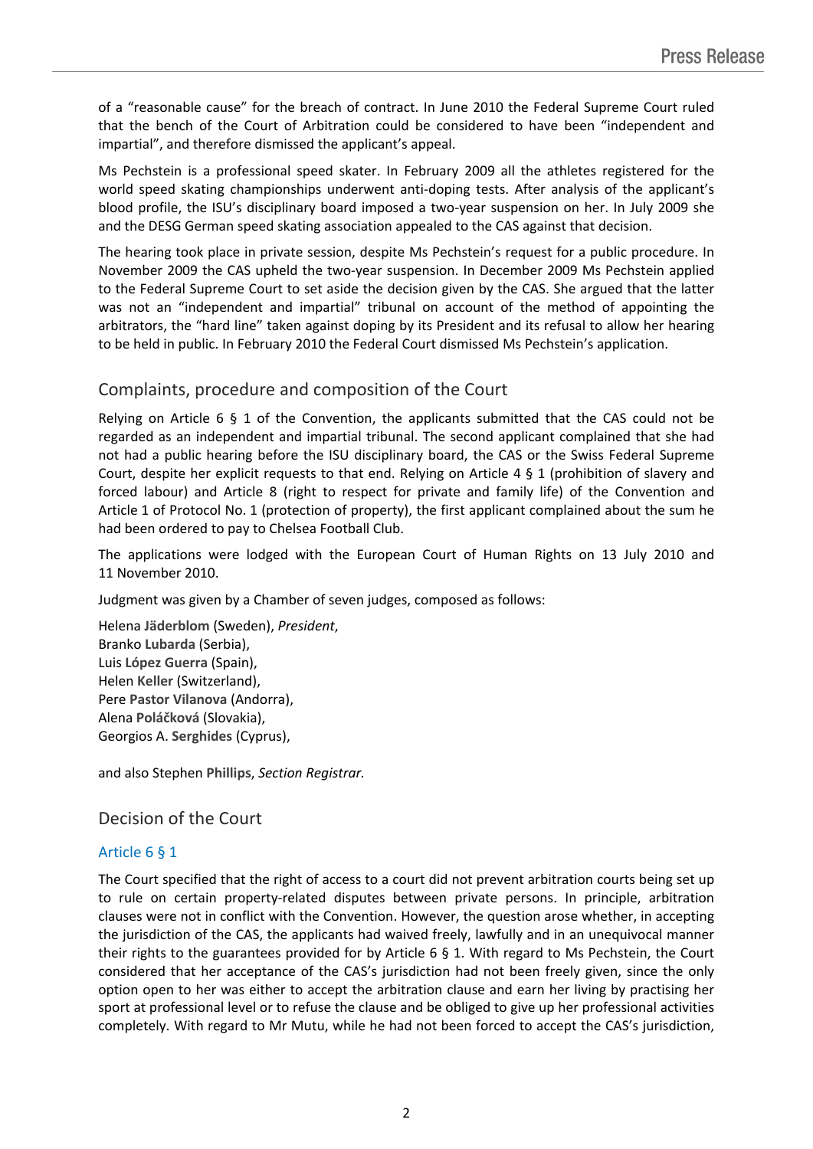of a "reasonable cause" for the breach of contract. In June 2010 the Federal Supreme Court ruled that the bench of the Court of Arbitration could be considered to have been "independent and impartial", and therefore dismissed the applicant's appeal.

Ms Pechstein is a professional speed skater. In February 2009 all the athletes registered for the world speed skating championships underwent anti-doping tests. After analysis of the applicant's blood profile, the ISU's disciplinary board imposed a two-year suspension on her. In July 2009 she and the DESG German speed skating association appealed to the CAS against that decision.

The hearing took place in private session, despite Ms Pechstein's request for a public procedure. In November 2009 the CAS upheld the two-year suspension. In December 2009 Ms Pechstein applied to the Federal Supreme Court to set aside the decision given by the CAS. She argued that the latter was not an "independent and impartial" tribunal on account of the method of appointing the arbitrators, the "hard line" taken against doping by its President and its refusal to allow her hearing to be held in public. In February 2010 the Federal Court dismissed Ms Pechstein's application.

## Complaints, procedure and composition of the Court

Relying on Article 6  $\S$  1 of the Convention, the applicants submitted that the CAS could not be regarded as an independent and impartial tribunal. The second applicant complained that she had not had a public hearing before the ISU disciplinary board, the CAS or the Swiss Federal Supreme Court, despite her explicit requests to that end. Relying on Article 4 § 1 (prohibition of slavery and forced labour) and Article 8 (right to respect for private and family life) of the Convention and Article 1 of Protocol No. 1 (protection of property), the first applicant complained about the sum he had been ordered to pay to Chelsea Football Club.

The applications were lodged with the European Court of Human Rights on 13 July 2010 and 11 November 2010.

Judgment was given by a Chamber of seven judges, composed as follows:

Helena **Jäderblom** (Sweden), *President*, Branko **Lubarda** (Serbia), Luis **López Guerra** (Spain), Helen **Keller** (Switzerland), Pere **Pastor Vilanova** (Andorra), Alena **Poláčková** (Slovakia), Georgios A. **Serghides** (Cyprus),

and also Stephen **Phillips**, *Section Registrar.*

### Decision of the Court

#### Article 6 § 1

The Court specified that the right of access to a court did not prevent arbitration courts being set up to rule on certain property-related disputes between private persons. In principle, arbitration clauses were not in conflict with the Convention. However, the question arose whether, in accepting the jurisdiction of the CAS, the applicants had waived freely, lawfully and in an unequivocal manner their rights to the guarantees provided for by Article 6 § 1. With regard to Ms Pechstein, the Court considered that her acceptance of the CAS's jurisdiction had not been freely given, since the only option open to her was either to accept the arbitration clause and earn her living by practising her sport at professional level or to refuse the clause and be obliged to give up her professional activities completely. With regard to Mr Mutu, while he had not been forced to accept the CAS's jurisdiction,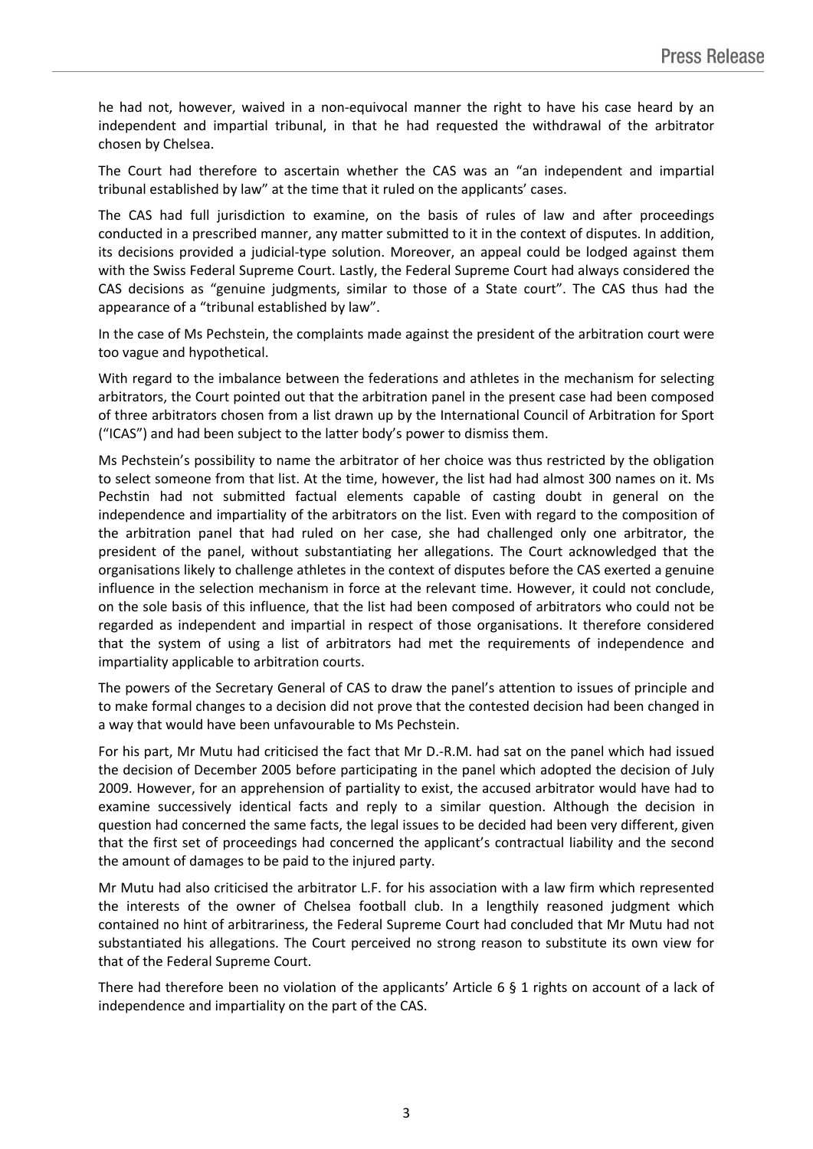he had not, however, waived in a non-equivocal manner the right to have his case heard by an independent and impartial tribunal, in that he had requested the withdrawal of the arbitrator chosen by Chelsea.

The Court had therefore to ascertain whether the CAS was an "an independent and impartial tribunal established by law" at the time that it ruled on the applicants' cases.

The CAS had full jurisdiction to examine, on the basis of rules of law and after proceedings conducted in a prescribed manner, any matter submitted to it in the context of disputes. In addition, its decisions provided a judicial-type solution. Moreover, an appeal could be lodged against them with the Swiss Federal Supreme Court. Lastly, the Federal Supreme Court had always considered the CAS decisions as "genuine judgments, similar to those of a State court". The CAS thus had the appearance of a "tribunal established by law".

In the case of Ms Pechstein, the complaints made against the president of the arbitration court were too vague and hypothetical.

With regard to the imbalance between the federations and athletes in the mechanism for selecting arbitrators, the Court pointed out that the arbitration panel in the present case had been composed of three arbitrators chosen from a list drawn up by the International Council of Arbitration for Sport ("ICAS") and had been subject to the latter body's power to dismiss them.

Ms Pechstein's possibility to name the arbitrator of her choice was thus restricted by the obligation to select someone from that list. At the time, however, the list had had almost 300 names on it. Ms Pechstin had not submitted factual elements capable of casting doubt in general on the independence and impartiality of the arbitrators on the list. Even with regard to the composition of the arbitration panel that had ruled on her case, she had challenged only one arbitrator, the president of the panel, without substantiating her allegations. The Court acknowledged that the organisations likely to challenge athletes in the context of disputes before the CAS exerted a genuine influence in the selection mechanism in force at the relevant time. However, it could not conclude, on the sole basis of this influence, that the list had been composed of arbitrators who could not be regarded as independent and impartial in respect of those organisations. It therefore considered that the system of using a list of arbitrators had met the requirements of independence and impartiality applicable to arbitration courts.

The powers of the Secretary General of CAS to draw the panel's attention to issues of principle and to make formal changes to a decision did not prove that the contested decision had been changed in a way that would have been unfavourable to Ms Pechstein.

For his part, Mr Mutu had criticised the fact that Mr D.-R.M. had sat on the panel which had issued the decision of December 2005 before participating in the panel which adopted the decision of July 2009. However, for an apprehension of partiality to exist, the accused arbitrator would have had to examine successively identical facts and reply to a similar question. Although the decision in question had concerned the same facts, the legal issues to be decided had been very different, given that the first set of proceedings had concerned the applicant's contractual liability and the second the amount of damages to be paid to the injured party.

Mr Mutu had also criticised the arbitrator L.F. for his association with a law firm which represented the interests of the owner of Chelsea football club. In a lengthily reasoned judgment which contained no hint of arbitrariness, the Federal Supreme Court had concluded that Mr Mutu had not substantiated his allegations. The Court perceived no strong reason to substitute its own view for that of the Federal Supreme Court.

There had therefore been no violation of the applicants' Article 6 § 1 rights on account of a lack of independence and impartiality on the part of the CAS.